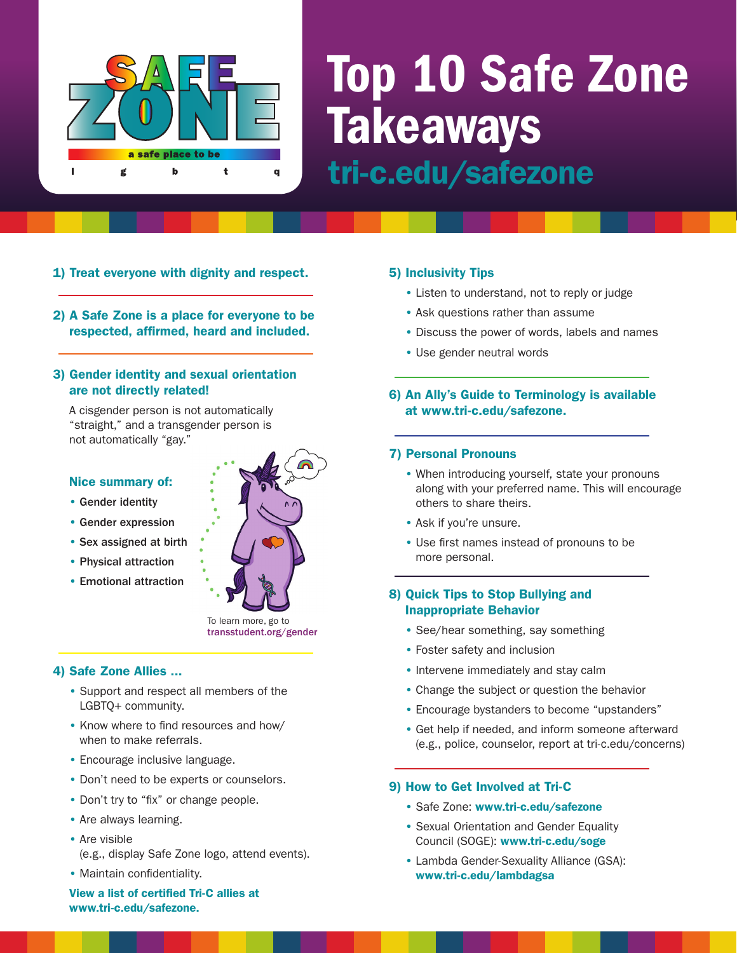

## Top 10 Safe Zone **Takeaways** tri-c.edu/safezone

2) A Safe Zone is a place for everyone to be respected, affirmed, heard and included.

1) Treat everyone with dignity and respect.

#### 3) Gender identity and sexual orientation are not directly related!

A cisgender person is not automatically "straight," and a transgender person is not automatically "gay."

#### Nice summary of:

- Gender identity
- Gender expression
- Sex assigned at birth
- Physical attraction
- Emotional attraction



transstudent.org/gender

#### 4) Safe Zone Allies ...

- Support and respect all members of the LGBTQ+ community.
- Know where to find resources and how/ when to make referrals.
- Encourage inclusive language.
- Don't need to be experts or counselors.
- Don't try to "fix" or change people.
- Are always learning.
- Are visible
	- (e.g., display Safe Zone logo, attend events).

#### • Maintain confidentiality.

View a list of certified Tri-C allies at www.tri-c.edu/safezone.

#### 5) Inclusivity Tips

- Listen to understand, not to reply or judge
- Ask questions rather than assume
- Discuss the power of words, labels and names
- Use gender neutral words

6) An Ally's Guide to Terminology is available at www.tri-c.edu/safezone.

#### 7) Personal Pronouns

- When introducing yourself, state your pronouns along with your preferred name. This will encourage others to share theirs.
- Ask if you're unsure.
- Use first names instead of pronouns to be more personal.

#### 8) Quick Tips to Stop Bullying and Inappropriate Behavior

- See/hear something, say something
- Foster safety and inclusion
- Intervene immediately and stay calm
- Change the subject or question the behavior
- Encourage bystanders to become "upstanders"
- Get help if needed, and inform someone afterward (e.g., police, counselor, report at tri-c.edu/concerns)

#### 9) How to Get Involved at Tri-C

- Safe Zone: www.tri-c.edu/safezone
- Sexual Orientation and Gender Equality Council (SOGE): www.tri-c.edu/soge
- Lambda Gender-Sexuality Alliance (GSA): www.tri-c.edu/lambdagsa